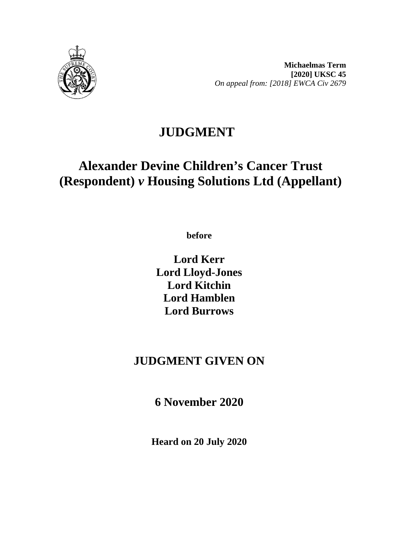

**Michaelmas Term [2020] UKSC 45** *On appeal from: [2018] EWCA Civ 2679*

# **JUDGMENT**

# **Alexander Devine Children's Cancer Trust (Respondent)** *v* **Housing Solutions Ltd (Appellant)**

**before**

**Lord Kerr Lord Lloyd-Jones Lord Kitchin Lord Hamblen Lord Burrows**

# **JUDGMENT GIVEN ON**

**6 November 2020**

**Heard on 20 July 2020**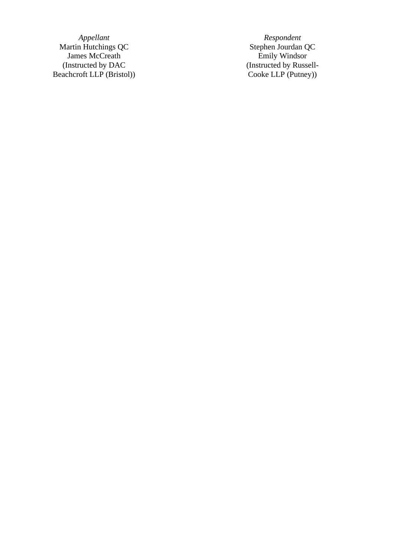Martin Hutchings QC and the Stephen Jourdan QC James McCreath Emily Windsor (Instructed by DAC Beachcroft LLP (Bristol ) )

*Appellant Respondent* (Instructed by Russell - Cooke LLP (Putney) )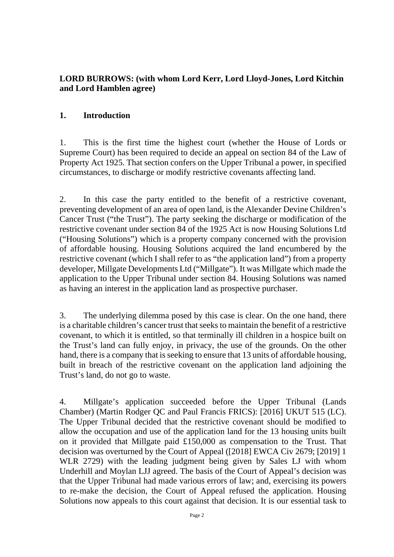### **LORD BURROWS: (with whom Lord Kerr, Lord Lloyd-Jones, Lord Kitchin and Lord Hamblen agree)**

#### **1. Introduction**

1. This is the first time the highest court (whether the House of Lords or Supreme Court) has been required to decide an appeal on section 84 of the Law of Property Act 1925. That section confers on the Upper Tribunal a power, in specified circumstances, to discharge or modify restrictive covenants affecting land.

2. In this case the party entitled to the benefit of a restrictive covenant, preventing development of an area of open land, is the Alexander Devine Children's Cancer Trust ("the Trust"). The party seeking the discharge or modification of the restrictive covenant under section 84 of the 1925 Act is now Housing Solutions Ltd ("Housing Solutions") which is a property company concerned with the provision of affordable housing. Housing Solutions acquired the land encumbered by the restrictive covenant (which I shall refer to as "the application land") from a property developer, Millgate Developments Ltd ("Millgate"). It was Millgate which made the application to the Upper Tribunal under section 84. Housing Solutions was named as having an interest in the application land as prospective purchaser.

3. The underlying dilemma posed by this case is clear. On the one hand, there is a charitable children's cancer trust that seeks to maintain the benefit of a restrictive covenant, to which it is entitled, so that terminally ill children in a hospice built on the Trust's land can fully enjoy, in privacy, the use of the grounds. On the other hand, there is a company that is seeking to ensure that 13 units of affordable housing, built in breach of the restrictive covenant on the application land adjoining the Trust's land, do not go to waste.

4. Millgate's application succeeded before the Upper Tribunal (Lands Chamber) (Martin Rodger QC and Paul Francis FRICS): [2016] UKUT 515 (LC). The Upper Tribunal decided that the restrictive covenant should be modified to allow the occupation and use of the application land for the 13 housing units built on it provided that Millgate paid £150,000 as compensation to the Trust. That decision was overturned by the Court of Appeal ([2018] EWCA Civ 2679; [2019] 1 WLR 2729) with the leading judgment being given by Sales LJ with whom Underhill and Moylan LJJ agreed. The basis of the Court of Appeal's decision was that the Upper Tribunal had made various errors of law; and, exercising its powers to re-make the decision, the Court of Appeal refused the application. Housing Solutions now appeals to this court against that decision. It is our essential task to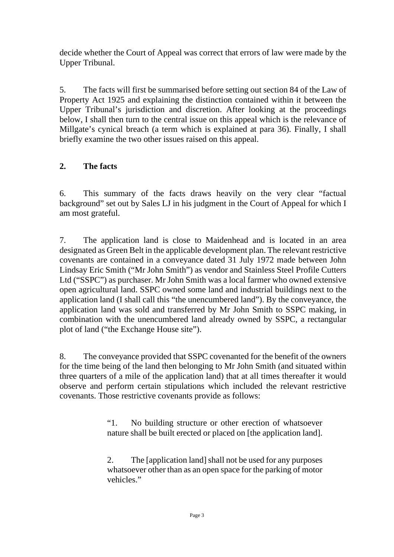decide whether the Court of Appeal was correct that errors of law were made by the Upper Tribunal.

5. The facts will first be summarised before setting out section 84 of the Law of Property Act 1925 and explaining the distinction contained within it between the Upper Tribunal's jurisdiction and discretion. After looking at the proceedings below, I shall then turn to the central issue on this appeal which is the relevance of Millgate's cynical breach (a term which is explained at para 36). Finally, I shall briefly examine the two other issues raised on this appeal.

# **2. The facts**

6. This summary of the facts draws heavily on the very clear "factual background" set out by Sales LJ in his judgment in the Court of Appeal for which I am most grateful.

7. The application land is close to Maidenhead and is located in an area designated as Green Belt in the applicable development plan. The relevant restrictive covenants are contained in a conveyance dated 31 July 1972 made between John Lindsay Eric Smith ("Mr John Smith") as vendor and Stainless Steel Profile Cutters Ltd ("SSPC") as purchaser. Mr John Smith was a local farmer who owned extensive open agricultural land. SSPC owned some land and industrial buildings next to the application land (I shall call this "the unencumbered land"). By the conveyance, the application land was sold and transferred by Mr John Smith to SSPC making, in combination with the unencumbered land already owned by SSPC, a rectangular plot of land ("the Exchange House site").

8. The conveyance provided that SSPC covenanted for the benefit of the owners for the time being of the land then belonging to Mr John Smith (and situated within three quarters of a mile of the application land) that at all times thereafter it would observe and perform certain stipulations which included the relevant restrictive covenants. Those restrictive covenants provide as follows:

> "1. No building structure or other erection of whatsoever nature shall be built erected or placed on [the application land].

> 2. The [application land] shall not be used for any purposes whatsoever other than as an open space for the parking of motor vehicles."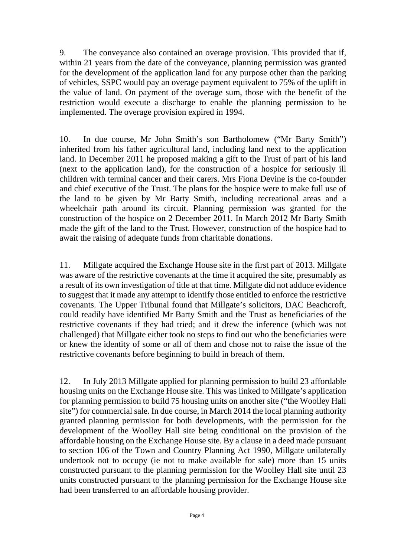9. The conveyance also contained an overage provision. This provided that if, within 21 years from the date of the conveyance, planning permission was granted for the development of the application land for any purpose other than the parking of vehicles, SSPC would pay an overage payment equivalent to 75% of the uplift in the value of land. On payment of the overage sum, those with the benefit of the restriction would execute a discharge to enable the planning permission to be implemented. The overage provision expired in 1994.

10. In due course, Mr John Smith's son Bartholomew ("Mr Barty Smith") inherited from his father agricultural land, including land next to the application land. In December 2011 he proposed making a gift to the Trust of part of his land (next to the application land), for the construction of a hospice for seriously ill children with terminal cancer and their carers. Mrs Fiona Devine is the co-founder and chief executive of the Trust. The plans for the hospice were to make full use of the land to be given by Mr Barty Smith, including recreational areas and a wheelchair path around its circuit. Planning permission was granted for the construction of the hospice on 2 December 2011. In March 2012 Mr Barty Smith made the gift of the land to the Trust. However, construction of the hospice had to await the raising of adequate funds from charitable donations.

11. Millgate acquired the Exchange House site in the first part of 2013. Millgate was aware of the restrictive covenants at the time it acquired the site, presumably as a result of its own investigation of title at that time. Millgate did not adduce evidence to suggest that it made any attempt to identify those entitled to enforce the restrictive covenants. The Upper Tribunal found that Millgate's solicitors, DAC Beachcroft, could readily have identified Mr Barty Smith and the Trust as beneficiaries of the restrictive covenants if they had tried; and it drew the inference (which was not challenged) that Millgate either took no steps to find out who the beneficiaries were or knew the identity of some or all of them and chose not to raise the issue of the restrictive covenants before beginning to build in breach of them.

12. In July 2013 Millgate applied for planning permission to build 23 affordable housing units on the Exchange House site. This was linked to Millgate's application for planning permission to build 75 housing units on another site ("the Woolley Hall site") for commercial sale. In due course, in March 2014 the local planning authority granted planning permission for both developments, with the permission for the development of the Woolley Hall site being conditional on the provision of the affordable housing on the Exchange House site. By a clause in a deed made pursuant to section 106 of the Town and Country Planning Act 1990, Millgate unilaterally undertook not to occupy (ie not to make available for sale) more than 15 units constructed pursuant to the planning permission for the Woolley Hall site until 23 units constructed pursuant to the planning permission for the Exchange House site had been transferred to an affordable housing provider.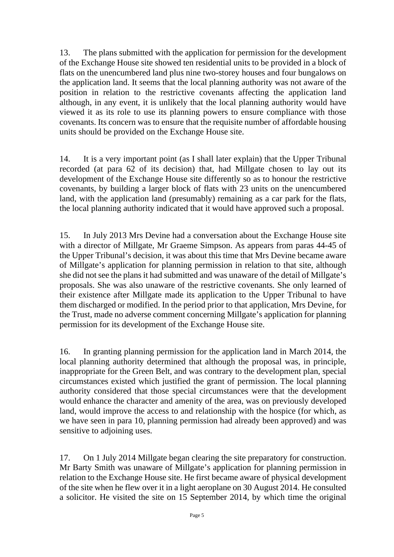13. The plans submitted with the application for permission for the development of the Exchange House site showed ten residential units to be provided in a block of flats on the unencumbered land plus nine two-storey houses and four bungalows on the application land. It seems that the local planning authority was not aware of the position in relation to the restrictive covenants affecting the application land although, in any event, it is unlikely that the local planning authority would have viewed it as its role to use its planning powers to ensure compliance with those covenants. Its concern was to ensure that the requisite number of affordable housing units should be provided on the Exchange House site.

14. It is a very important point (as I shall later explain) that the Upper Tribunal recorded (at para 62 of its decision) that, had Millgate chosen to lay out its development of the Exchange House site differently so as to honour the restrictive covenants, by building a larger block of flats with 23 units on the unencumbered land, with the application land (presumably) remaining as a car park for the flats, the local planning authority indicated that it would have approved such a proposal.

15. In July 2013 Mrs Devine had a conversation about the Exchange House site with a director of Millgate, Mr Graeme Simpson. As appears from paras 44-45 of the Upper Tribunal's decision, it was about this time that Mrs Devine became aware of Millgate's application for planning permission in relation to that site, although she did not see the plans it had submitted and was unaware of the detail of Millgate's proposals. She was also unaware of the restrictive covenants. She only learned of their existence after Millgate made its application to the Upper Tribunal to have them discharged or modified. In the period prior to that application, Mrs Devine, for the Trust, made no adverse comment concerning Millgate's application for planning permission for its development of the Exchange House site.

16. In granting planning permission for the application land in March 2014, the local planning authority determined that although the proposal was, in principle, inappropriate for the Green Belt, and was contrary to the development plan, special circumstances existed which justified the grant of permission. The local planning authority considered that those special circumstances were that the development would enhance the character and amenity of the area, was on previously developed land, would improve the access to and relationship with the hospice (for which, as we have seen in para 10, planning permission had already been approved) and was sensitive to adjoining uses.

17. On 1 July 2014 Millgate began clearing the site preparatory for construction. Mr Barty Smith was unaware of Millgate's application for planning permission in relation to the Exchange House site. He first became aware of physical development of the site when he flew over it in a light aeroplane on 30 August 2014. He consulted a solicitor. He visited the site on 15 September 2014, by which time the original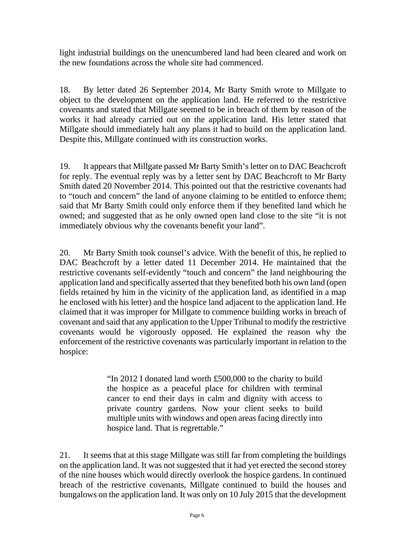light industrial buildings on the unencumbered land had been cleared and work on the new foundations across the whole site had commenced.

18. By letter dated 26 September 2014, Mr Barty Smith wrote to Millgate to object to the development on the application land. He referred to the restrictive covenants and stated that Millgate seemed to be in breach of them by reason of the works it had already carried out on the application land. His letter stated that Millgate should immediately halt any plans it had to build on the application land. Despite this, Millgate continued with its construction works.

19. It appears that Millgate passed Mr Barty Smith's letter on to DAC Beachcroft for reply. The eventual reply was by a letter sent by DAC Beachcroft to Mr Barty Smith dated 20 November 2014. This pointed out that the restrictive covenants had to "touch and concern" the land of anyone claiming to be entitled to enforce them; said that Mr Barty Smith could only enforce them if they benefited land which he owned; and suggested that as he only owned open land close to the site "it is not immediately obvious why the covenants benefit your land".

20. Mr Barty Smith took counsel's advice. With the benefit of this, he replied to DAC Beachcroft by a letter dated 11 December 2014. He maintained that the restrictive covenants self-evidently "touch and concern" the land neighbouring the application land and specifically asserted that they benefited both his own land (open fields retained by him in the vicinity of the application land, as identified in a map he enclosed with his letter) and the hospice land adjacent to the application land. He claimed that it was improper for Millgate to commence building works in breach of covenant and said that any application to the Upper Tribunal to modify the restrictive covenants would be vigorously opposed. He explained the reason why the enforcement of the restrictive covenants was particularly important in relation to the hospice:

> "In 2012 I donated land worth £500,000 to the charity to build the hospice as a peaceful place for children with terminal cancer to end their days in calm and dignity with access to private country gardens. Now your client seeks to build multiple units with windows and open areas facing directly into hospice land. That is regrettable."

21. It seems that at this stage Millgate was still far from completing the buildings on the application land. It was not suggested that it had yet erected the second storey of the nine houses which would directly overlook the hospice gardens. In continued breach of the restrictive covenants, Millgate continued to build the houses and bungalows on the application land. It was only on 10 July 2015 that the development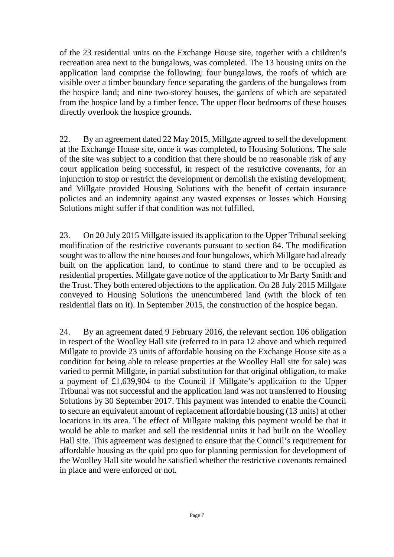of the 23 residential units on the Exchange House site, together with a children's recreation area next to the bungalows, was completed. The 13 housing units on the application land comprise the following: four bungalows, the roofs of which are visible over a timber boundary fence separating the gardens of the bungalows from the hospice land; and nine two-storey houses, the gardens of which are separated from the hospice land by a timber fence. The upper floor bedrooms of these houses directly overlook the hospice grounds.

22. By an agreement dated 22 May 2015, Millgate agreed to sell the development at the Exchange House site, once it was completed, to Housing Solutions. The sale of the site was subject to a condition that there should be no reasonable risk of any court application being successful, in respect of the restrictive covenants, for an injunction to stop or restrict the development or demolish the existing development; and Millgate provided Housing Solutions with the benefit of certain insurance policies and an indemnity against any wasted expenses or losses which Housing Solutions might suffer if that condition was not fulfilled.

23. On 20 July 2015 Millgate issued its application to the Upper Tribunal seeking modification of the restrictive covenants pursuant to section 84. The modification sought was to allow the nine houses and four bungalows, which Millgate had already built on the application land, to continue to stand there and to be occupied as residential properties. Millgate gave notice of the application to Mr Barty Smith and the Trust. They both entered objections to the application. On 28 July 2015 Millgate conveyed to Housing Solutions the unencumbered land (with the block of ten residential flats on it). In September 2015, the construction of the hospice began.

24. By an agreement dated 9 February 2016, the relevant section 106 obligation in respect of the Woolley Hall site (referred to in para 12 above and which required Millgate to provide 23 units of affordable housing on the Exchange House site as a condition for being able to release properties at the Woolley Hall site for sale) was varied to permit Millgate, in partial substitution for that original obligation, to make a payment of £1,639,904 to the Council if Millgate's application to the Upper Tribunal was not successful and the application land was not transferred to Housing Solutions by 30 September 2017. This payment was intended to enable the Council to secure an equivalent amount of replacement affordable housing (13 units) at other locations in its area. The effect of Millgate making this payment would be that it would be able to market and sell the residential units it had built on the Woolley Hall site. This agreement was designed to ensure that the Council's requirement for affordable housing as the quid pro quo for planning permission for development of the Woolley Hall site would be satisfied whether the restrictive covenants remained in place and were enforced or not.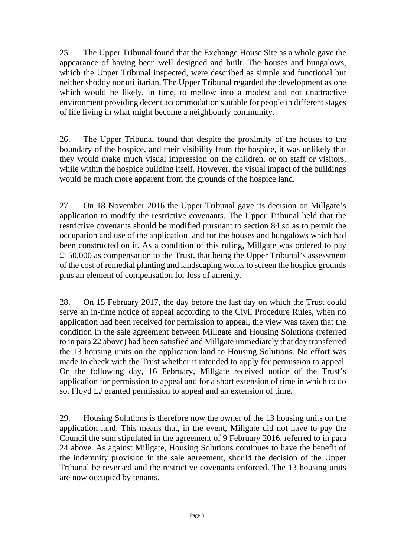25. The Upper Tribunal found that the Exchange House Site as a whole gave the appearance of having been well designed and built. The houses and bungalows, which the Upper Tribunal inspected, were described as simple and functional but neither shoddy nor utilitarian. The Upper Tribunal regarded the development as one which would be likely, in time, to mellow into a modest and not unattractive environment providing decent accommodation suitable for people in different stages of life living in what might become a neighbourly community.

26. The Upper Tribunal found that despite the proximity of the houses to the boundary of the hospice, and their visibility from the hospice, it was unlikely that they would make much visual impression on the children, or on staff or visitors, while within the hospice building itself. However, the visual impact of the buildings would be much more apparent from the grounds of the hospice land.

27. On 18 November 2016 the Upper Tribunal gave its decision on Millgate's application to modify the restrictive covenants. The Upper Tribunal held that the restrictive covenants should be modified pursuant to section 84 so as to permit the occupation and use of the application land for the houses and bungalows which had been constructed on it. As a condition of this ruling, Millgate was ordered to pay £150,000 as compensation to the Trust, that being the Upper Tribunal's assessment of the cost of remedial planting and landscaping works to screen the hospice grounds plus an element of compensation for loss of amenity.

28. On 15 February 2017, the day before the last day on which the Trust could serve an in-time notice of appeal according to the Civil Procedure Rules, when no application had been received for permission to appeal, the view was taken that the condition in the sale agreement between Millgate and Housing Solutions (referred to in para 22 above) had been satisfied and Millgate immediately that day transferred the 13 housing units on the application land to Housing Solutions. No effort was made to check with the Trust whether it intended to apply for permission to appeal. On the following day, 16 February, Millgate received notice of the Trust's application for permission to appeal and for a short extension of time in which to do so. Floyd LJ granted permission to appeal and an extension of time.

29. Housing Solutions is therefore now the owner of the 13 housing units on the application land. This means that, in the event, Millgate did not have to pay the Council the sum stipulated in the agreement of 9 February 2016, referred to in para 24 above. As against Millgate, Housing Solutions continues to have the benefit of the indemnity provision in the sale agreement, should the decision of the Upper Tribunal be reversed and the restrictive covenants enforced. The 13 housing units are now occupied by tenants.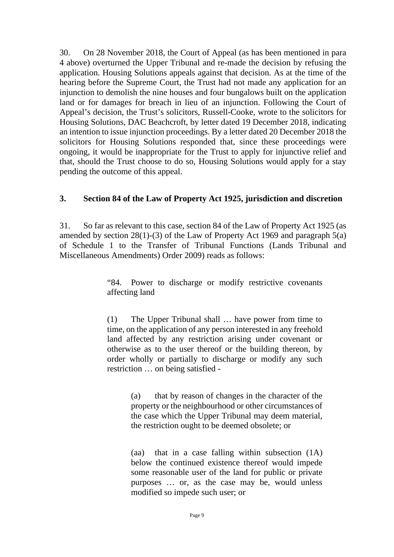30. On 28 November 2018, the Court of Appeal (as has been mentioned in para 4 above) overturned the Upper Tribunal and re-made the decision by refusing the application. Housing Solutions appeals against that decision. As at the time of the hearing before the Supreme Court, the Trust had not made any application for an injunction to demolish the nine houses and four bungalows built on the application land or for damages for breach in lieu of an injunction. Following the Court of Appeal's decision, the Trust's solicitors, Russell-Cooke, wrote to the solicitors for Housing Solutions, DAC Beachcroft, by letter dated 19 December 2018, indicating an intention to issue injunction proceedings. By a letter dated 20 December 2018 the solicitors for Housing Solutions responded that, since these proceedings were ongoing, it would be inappropriate for the Trust to apply for injunctive relief and that, should the Trust choose to do so, Housing Solutions would apply for a stay pending the outcome of this appeal.

#### **3. Section 84 of the Law of Property Act 1925, jurisdiction and discretion**

31. So far as relevant to this case, section 84 of the Law of Property Act 1925 (as amended by section 28(1)-(3) of the Law of Property Act 1969 and paragraph 5(a) of Schedule 1 to the Transfer of Tribunal Functions (Lands Tribunal and Miscellaneous Amendments) Order 2009) reads as follows:

> "84. Power to discharge or modify restrictive covenants affecting land

> (1) The Upper Tribunal shall … have power from time to time, on the application of any person interested in any freehold land affected by any restriction arising under covenant or otherwise as to the user thereof or the building thereon, by order wholly or partially to discharge or modify any such restriction … on being satisfied -

> > (a) that by reason of changes in the character of the property or the neighbourhood or other circumstances of the case which the Upper Tribunal may deem material, the restriction ought to be deemed obsolete; or

> > (aa) that in a case falling within subsection (1A) below the continued existence thereof would impede some reasonable user of the land for public or private purposes … or, as the case may be, would unless modified so impede such user; or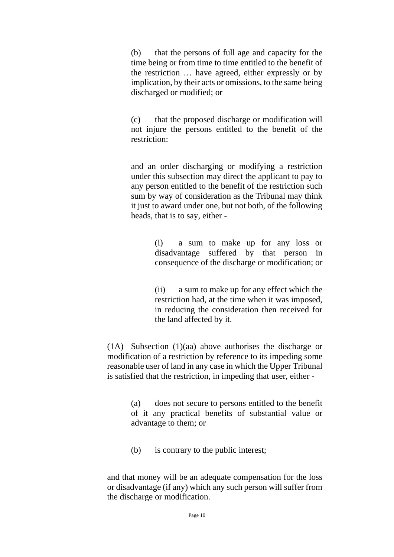(b) that the persons of full age and capacity for the time being or from time to time entitled to the benefit of the restriction … have agreed, either expressly or by implication, by their acts or omissions, to the same being discharged or modified; or

(c) that the proposed discharge or modification will not injure the persons entitled to the benefit of the restriction:

and an order discharging or modifying a restriction under this subsection may direct the applicant to pay to any person entitled to the benefit of the restriction such sum by way of consideration as the Tribunal may think it just to award under one, but not both, of the following heads, that is to say, either -

> (i) a sum to make up for any loss or disadvantage suffered by that person in consequence of the discharge or modification; or

> (ii) a sum to make up for any effect which the restriction had, at the time when it was imposed, in reducing the consideration then received for the land affected by it.

(1A) Subsection (1)(aa) above authorises the discharge or modification of a restriction by reference to its impeding some reasonable user of land in any case in which the Upper Tribunal is satisfied that the restriction, in impeding that user, either -

> (a) does not secure to persons entitled to the benefit of it any practical benefits of substantial value or advantage to them; or

(b) is contrary to the public interest;

and that money will be an adequate compensation for the loss or disadvantage (if any) which any such person will suffer from the discharge or modification.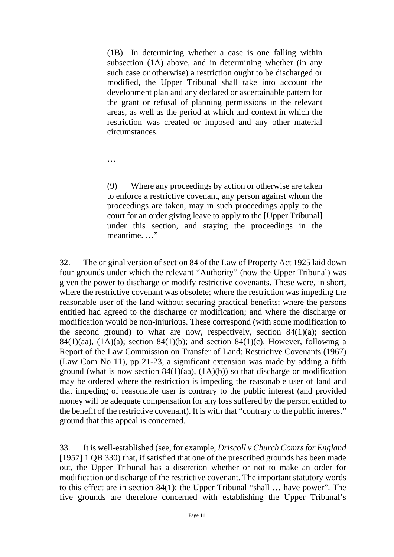(1B) In determining whether a case is one falling within subsection (1A) above, and in determining whether (in any such case or otherwise) a restriction ought to be discharged or modified, the Upper Tribunal shall take into account the development plan and any declared or ascertainable pattern for the grant or refusal of planning permissions in the relevant areas, as well as the period at which and context in which the restriction was created or imposed and any other material circumstances.

…

(9) Where any proceedings by action or otherwise are taken to enforce a restrictive covenant, any person against whom the proceedings are taken, may in such proceedings apply to the court for an order giving leave to apply to the [Upper Tribunal] under this section, and staying the proceedings in the meantime. …"

32. The original version of section 84 of the Law of Property Act 1925 laid down four grounds under which the relevant "Authority" (now the Upper Tribunal) was given the power to discharge or modify restrictive covenants. These were, in short, where the restrictive covenant was obsolete; where the restriction was impeding the reasonable user of the land without securing practical benefits; where the persons entitled had agreed to the discharge or modification; and where the discharge or modification would be non-injurious. These correspond (with some modification to the second ground) to what are now, respectively, section  $84(1)(a)$ ; section 84(1)(aa), (1A)(a); section 84(1)(b); and section 84(1)(c). However, following a Report of the Law Commission on Transfer of Land: Restrictive Covenants (1967) (Law Com No 11), pp 21-23, a significant extension was made by adding a fifth ground (what is now section 84(1)(aa),  $(1A)(b)$ ) so that discharge or modification may be ordered where the restriction is impeding the reasonable user of land and that impeding of reasonable user is contrary to the public interest (and provided money will be adequate compensation for any loss suffered by the person entitled to the benefit of the restrictive covenant). It is with that "contrary to the public interest" ground that this appeal is concerned.

33. It is well-established (see, for example, *Driscoll v Church Comrs for England* [1957] 1 QB 330) that, if satisfied that one of the prescribed grounds has been made out, the Upper Tribunal has a discretion whether or not to make an order for modification or discharge of the restrictive covenant. The important statutory words to this effect are in section 84(1): the Upper Tribunal "shall … have power". The five grounds are therefore concerned with establishing the Upper Tribunal's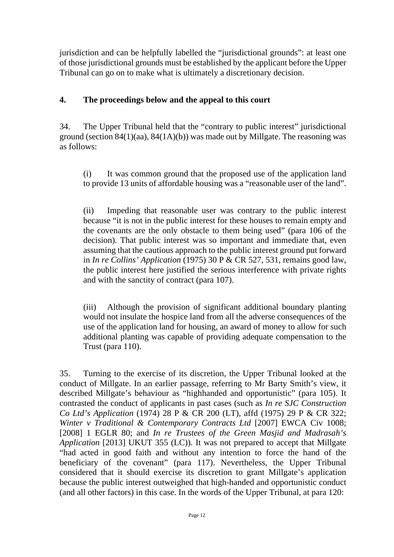jurisdiction and can be helpfully labelled the "jurisdictional grounds": at least one of those jurisdictional grounds must be established by the applicant before the Upper Tribunal can go on to make what is ultimately a discretionary decision.

# **4. The proceedings below and the appeal to this court**

34. The Upper Tribunal held that the "contrary to public interest" jurisdictional ground (section  $84(1)(aa)$ ,  $84(1A)(b)$ ) was made out by Millgate. The reasoning was as follows:

(i) It was common ground that the proposed use of the application land to provide 13 units of affordable housing was a "reasonable user of the land".

(ii) Impeding that reasonable user was contrary to the public interest because "it is not in the public interest for these houses to remain empty and the covenants are the only obstacle to them being used" (para 106 of the decision). That public interest was so important and immediate that, even assuming that the cautious approach to the public interest ground put forward in *In re Collins' Application* (1975) 30 P & CR 527, 531, remains good law, the public interest here justified the serious interference with private rights and with the sanctity of contract (para 107).

(iii) Although the provision of significant additional boundary planting would not insulate the hospice land from all the adverse consequences of the use of the application land for housing, an award of money to allow for such additional planting was capable of providing adequate compensation to the Trust (para 110).

35. Turning to the exercise of its discretion, the Upper Tribunal looked at the conduct of Millgate. In an earlier passage, referring to Mr Barty Smith's view, it described Millgate's behaviour as "highhanded and opportunistic" (para 105). It contrasted the conduct of applicants in past cases (such as *In re SJC Construction Co Ltd's Application* (1974) 28 P & CR 200 (LT), affd (1975) 29 P & CR 322; *Winter v Traditional & Contemporary Contracts Ltd* [2007] EWCA Civ 1008; [2008] 1 EGLR 80; and *In re Trustees of the Green Masjid and Madrasah's Application* [2013] UKUT 355 (LC)). It was not prepared to accept that Millgate "had acted in good faith and without any intention to force the hand of the beneficiary of the covenant" (para 117). Nevertheless, the Upper Tribunal considered that it should exercise its discretion to grant Millgate's application because the public interest outweighed that high-handed and opportunistic conduct (and all other factors) in this case. In the words of the Upper Tribunal, at para 120: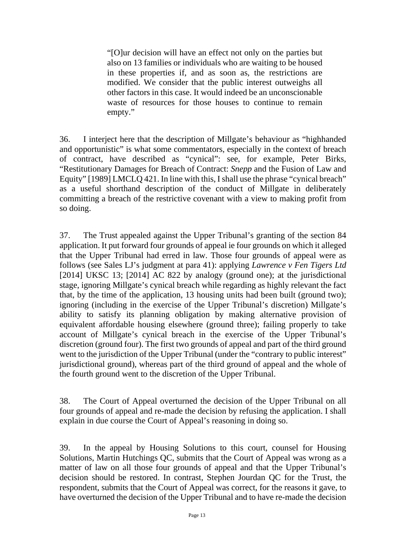"[O]ur decision will have an effect not only on the parties but also on 13 families or individuals who are waiting to be housed in these properties if, and as soon as, the restrictions are modified. We consider that the public interest outweighs all other factors in this case. It would indeed be an unconscionable waste of resources for those houses to continue to remain empty."

36. I interject here that the description of Millgate's behaviour as "highhanded and opportunistic" is what some commentators, especially in the context of breach of contract, have described as "cynical": see, for example, Peter Birks, "Restitutionary Damages for Breach of Contract: *Snepp* and the Fusion of Law and Equity" [1989] LMCLQ 421. In line with this, I shall use the phrase "cynical breach" as a useful shorthand description of the conduct of Millgate in deliberately committing a breach of the restrictive covenant with a view to making profit from so doing.

37. The Trust appealed against the Upper Tribunal's granting of the section 84 application. It put forward four grounds of appeal ie four grounds on which it alleged that the Upper Tribunal had erred in law. Those four grounds of appeal were as follows (see Sales LJ's judgment at para 41): applying *Lawrence v Fen Tigers Ltd* [2014] UKSC 13; [2014] AC 822 by analogy (ground one); at the jurisdictional stage, ignoring Millgate's cynical breach while regarding as highly relevant the fact that, by the time of the application, 13 housing units had been built (ground two); ignoring (including in the exercise of the Upper Tribunal's discretion) Millgate's ability to satisfy its planning obligation by making alternative provision of equivalent affordable housing elsewhere (ground three); failing properly to take account of Millgate's cynical breach in the exercise of the Upper Tribunal's discretion (ground four). The first two grounds of appeal and part of the third ground went to the jurisdiction of the Upper Tribunal (under the "contrary to public interest" jurisdictional ground), whereas part of the third ground of appeal and the whole of the fourth ground went to the discretion of the Upper Tribunal.

38. The Court of Appeal overturned the decision of the Upper Tribunal on all four grounds of appeal and re-made the decision by refusing the application. I shall explain in due course the Court of Appeal's reasoning in doing so.

39. In the appeal by Housing Solutions to this court, counsel for Housing Solutions, Martin Hutchings QC, submits that the Court of Appeal was wrong as a matter of law on all those four grounds of appeal and that the Upper Tribunal's decision should be restored. In contrast, Stephen Jourdan QC for the Trust, the respondent, submits that the Court of Appeal was correct, for the reasons it gave, to have overturned the decision of the Upper Tribunal and to have re-made the decision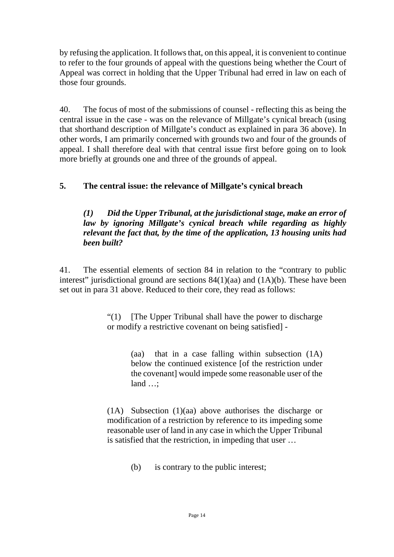by refusing the application. It follows that, on this appeal, it is convenient to continue to refer to the four grounds of appeal with the questions being whether the Court of Appeal was correct in holding that the Upper Tribunal had erred in law on each of those four grounds.

40. The focus of most of the submissions of counsel - reflecting this as being the central issue in the case - was on the relevance of Millgate's cynical breach (using that shorthand description of Millgate's conduct as explained in para 36 above). In other words, I am primarily concerned with grounds two and four of the grounds of appeal. I shall therefore deal with that central issue first before going on to look more briefly at grounds one and three of the grounds of appeal.

# **5. The central issue: the relevance of Millgate's cynical breach**

#### *(1) Did the Upper Tribunal, at the jurisdictional stage, make an error of law by ignoring Millgate's cynical breach while regarding as highly relevant the fact that, by the time of the application, 13 housing units had been built?*

41. The essential elements of section 84 in relation to the "contrary to public interest" jurisdictional ground are sections  $84(1)(aa)$  and  $(1A)(b)$ . These have been set out in para 31 above. Reduced to their core, they read as follows:

> "(1) [The Upper Tribunal shall have the power to discharge or modify a restrictive covenant on being satisfied] -

> > (aa) that in a case falling within subsection (1A) below the continued existence [of the restriction under the covenant] would impede some reasonable user of the land …;

(1A) Subsection (1)(aa) above authorises the discharge or modification of a restriction by reference to its impeding some reasonable user of land in any case in which the Upper Tribunal is satisfied that the restriction, in impeding that user …

(b) is contrary to the public interest;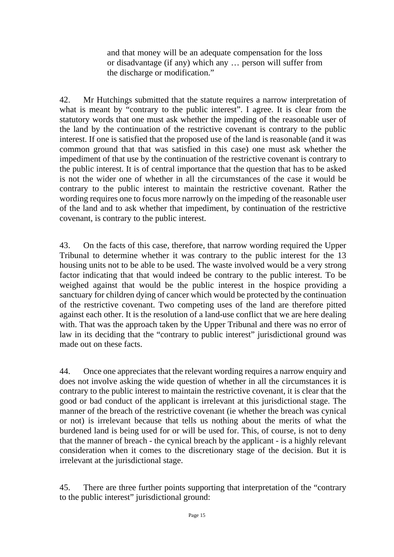and that money will be an adequate compensation for the loss or disadvantage (if any) which any … person will suffer from the discharge or modification."

42. Mr Hutchings submitted that the statute requires a narrow interpretation of what is meant by "contrary to the public interest". I agree. It is clear from the statutory words that one must ask whether the impeding of the reasonable user of the land by the continuation of the restrictive covenant is contrary to the public interest. If one is satisfied that the proposed use of the land is reasonable (and it was common ground that that was satisfied in this case) one must ask whether the impediment of that use by the continuation of the restrictive covenant is contrary to the public interest. It is of central importance that the question that has to be asked is not the wider one of whether in all the circumstances of the case it would be contrary to the public interest to maintain the restrictive covenant. Rather the wording requires one to focus more narrowly on the impeding of the reasonable user of the land and to ask whether that impediment, by continuation of the restrictive covenant, is contrary to the public interest.

43. On the facts of this case, therefore, that narrow wording required the Upper Tribunal to determine whether it was contrary to the public interest for the 13 housing units not to be able to be used. The waste involved would be a very strong factor indicating that that would indeed be contrary to the public interest. To be weighed against that would be the public interest in the hospice providing a sanctuary for children dying of cancer which would be protected by the continuation of the restrictive covenant. Two competing uses of the land are therefore pitted against each other. It is the resolution of a land-use conflict that we are here dealing with. That was the approach taken by the Upper Tribunal and there was no error of law in its deciding that the "contrary to public interest" jurisdictional ground was made out on these facts.

44. Once one appreciates that the relevant wording requires a narrow enquiry and does not involve asking the wide question of whether in all the circumstances it is contrary to the public interest to maintain the restrictive covenant, it is clear that the good or bad conduct of the applicant is irrelevant at this jurisdictional stage. The manner of the breach of the restrictive covenant (ie whether the breach was cynical or not) is irrelevant because that tells us nothing about the merits of what the burdened land is being used for or will be used for. This, of course, is not to deny that the manner of breach - the cynical breach by the applicant - is a highly relevant consideration when it comes to the discretionary stage of the decision. But it is irrelevant at the jurisdictional stage.

45. There are three further points supporting that interpretation of the "contrary to the public interest" jurisdictional ground: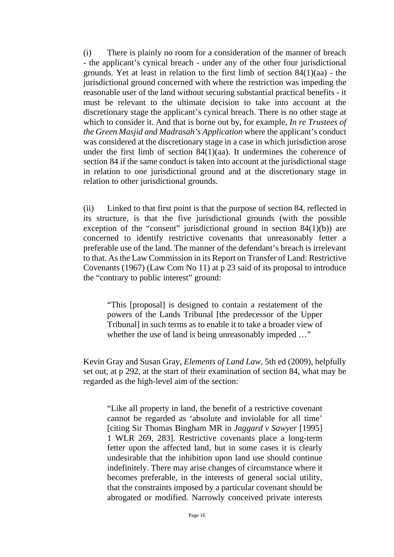(i) There is plainly no room for a consideration of the manner of breach - the applicant's cynical breach - under any of the other four jurisdictional grounds. Yet at least in relation to the first limb of section 84(1)(aa) - the jurisdictional ground concerned with where the restriction was impeding the reasonable user of the land without securing substantial practical benefits - it must be relevant to the ultimate decision to take into account at the discretionary stage the applicant's cynical breach. There is no other stage at which to consider it. And that is borne out by, for example, *In re Trustees of the Green Masjid and Madrasah's Application* where the applicant's conduct was considered at the discretionary stage in a case in which jurisdiction arose under the first limb of section 84(1)(aa). It undermines the coherence of section 84 if the same conduct is taken into account at the jurisdictional stage in relation to one jurisdictional ground and at the discretionary stage in relation to other jurisdictional grounds.

(ii) Linked to that first point is that the purpose of section 84, reflected in its structure, is that the five jurisdictional grounds (with the possible exception of the "consent" jurisdictional ground in section  $84(1)(b)$  are concerned to identify restrictive covenants that unreasonably fetter a preferable use of the land. The manner of the defendant's breach is irrelevant to that. As the Law Commission in its Report on Transfer of Land: Restrictive Covenants (1967) (Law Com No 11) at p 23 said of its proposal to introduce the "contrary to public interest" ground:

"This [proposal] is designed to contain a restatement of the powers of the Lands Tribunal [the predecessor of the Upper Tribunal] in such terms as to enable it to take a broader view of whether the use of land is being unreasonably impeded ..."

Kevin Gray and Susan Gray, *Elements of Land Law*, 5th ed (2009), helpfully set out, at p 292, at the start of their examination of section 84, what may be regarded as the high-level aim of the section:

"Like all property in land, the benefit of a restrictive covenant cannot be regarded as 'absolute and inviolable for all time' [citing Sir Thomas Bingham MR in *Jaggard v Sawyer* [1995] 1 WLR 269, 283]. Restrictive covenants place a long-term fetter upon the affected land, but in some cases it is clearly undesirable that the inhibition upon land use should continue indefinitely. There may arise changes of circumstance where it becomes preferable, in the interests of general social utility, that the constraints imposed by a particular covenant should be abrogated or modified. Narrowly conceived private interests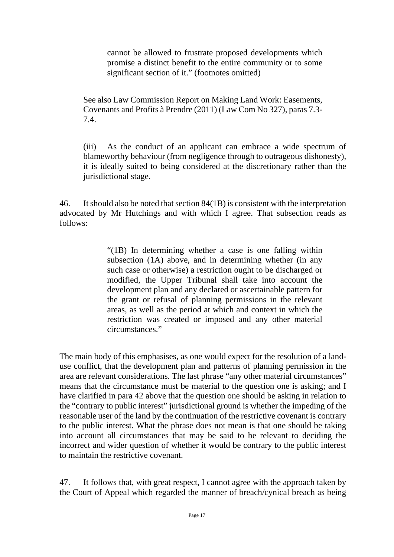cannot be allowed to frustrate proposed developments which promise a distinct benefit to the entire community or to some significant section of it." (footnotes omitted)

See also Law Commission Report on Making Land Work: Easements, Covenants and Profits à Prendre (2011) (Law Com No 327), paras 7.3- 7.4.

(iii) As the conduct of an applicant can embrace a wide spectrum of blameworthy behaviour (from negligence through to outrageous dishonesty), it is ideally suited to being considered at the discretionary rather than the jurisdictional stage.

46. It should also be noted that section 84(1B) is consistent with the interpretation advocated by Mr Hutchings and with which I agree. That subsection reads as follows:

> "(1B) In determining whether a case is one falling within subsection (1A) above, and in determining whether (in any such case or otherwise) a restriction ought to be discharged or modified, the Upper Tribunal shall take into account the development plan and any declared or ascertainable pattern for the grant or refusal of planning permissions in the relevant areas, as well as the period at which and context in which the restriction was created or imposed and any other material circumstances."

The main body of this emphasises, as one would expect for the resolution of a landuse conflict, that the development plan and patterns of planning permission in the area are relevant considerations. The last phrase "any other material circumstances" means that the circumstance must be material to the question one is asking; and I have clarified in para 42 above that the question one should be asking in relation to the "contrary to public interest" jurisdictional ground is whether the impeding of the reasonable user of the land by the continuation of the restrictive covenant is contrary to the public interest. What the phrase does not mean is that one should be taking into account all circumstances that may be said to be relevant to deciding the incorrect and wider question of whether it would be contrary to the public interest to maintain the restrictive covenant.

47. It follows that, with great respect, I cannot agree with the approach taken by the Court of Appeal which regarded the manner of breach/cynical breach as being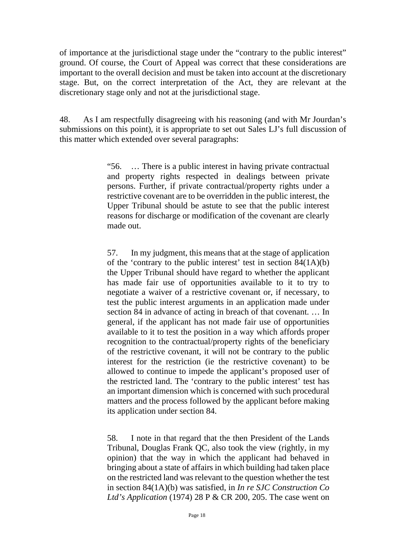of importance at the jurisdictional stage under the "contrary to the public interest" ground. Of course, the Court of Appeal was correct that these considerations are important to the overall decision and must be taken into account at the discretionary stage. But, on the correct interpretation of the Act, they are relevant at the discretionary stage only and not at the jurisdictional stage.

48. As I am respectfully disagreeing with his reasoning (and with Mr Jourdan's submissions on this point), it is appropriate to set out Sales LJ's full discussion of this matter which extended over several paragraphs:

> "56. … There is a public interest in having private contractual and property rights respected in dealings between private persons. Further, if private contractual/property rights under a restrictive covenant are to be overridden in the public interest, the Upper Tribunal should be astute to see that the public interest reasons for discharge or modification of the covenant are clearly made out.

> 57. In my judgment, this means that at the stage of application of the 'contrary to the public interest' test in section  $84(1A)(b)$ the Upper Tribunal should have regard to whether the applicant has made fair use of opportunities available to it to try to negotiate a waiver of a restrictive covenant or, if necessary, to test the public interest arguments in an application made under section 84 in advance of acting in breach of that covenant. … In general, if the applicant has not made fair use of opportunities available to it to test the position in a way which affords proper recognition to the contractual/property rights of the beneficiary of the restrictive covenant, it will not be contrary to the public interest for the restriction (ie the restrictive covenant) to be allowed to continue to impede the applicant's proposed user of the restricted land. The 'contrary to the public interest' test has an important dimension which is concerned with such procedural matters and the process followed by the applicant before making its application under section 84.

> 58. I note in that regard that the then President of the Lands Tribunal, Douglas Frank QC, also took the view (rightly, in my opinion) that the way in which the applicant had behaved in bringing about a state of affairs in which building had taken place on the restricted land was relevant to the question whether the test in section 84(1A)(b) was satisfied, in *In re SJC Construction Co Ltd's Application* (1974) 28 P & CR 200, 205. The case went on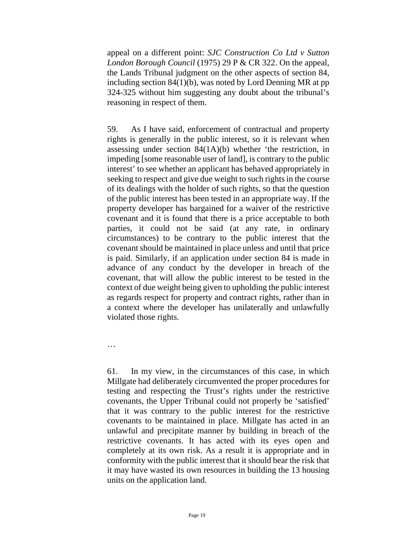appeal on a different point: *SJC Construction Co Ltd v Sutton London Borough Council* (1975) 29 P & CR 322. On the appeal, the Lands Tribunal judgment on the other aspects of section 84, including section 84(1)(b), was noted by Lord Denning MR at pp 324-325 without him suggesting any doubt about the tribunal's reasoning in respect of them.

59. As I have said, enforcement of contractual and property rights is generally in the public interest, so it is relevant when assessing under section 84(1A)(b) whether 'the restriction, in impeding [some reasonable user of land], is contrary to the public interest' to see whether an applicant has behaved appropriately in seeking to respect and give due weight to such rights in the course of its dealings with the holder of such rights, so that the question of the public interest has been tested in an appropriate way. If the property developer has bargained for a waiver of the restrictive covenant and it is found that there is a price acceptable to both parties, it could not be said (at any rate, in ordinary circumstances) to be contrary to the public interest that the covenant should be maintained in place unless and until that price is paid. Similarly, if an application under section 84 is made in advance of any conduct by the developer in breach of the covenant, that will allow the public interest to be tested in the context of due weight being given to upholding the public interest as regards respect for property and contract rights, rather than in a context where the developer has unilaterally and unlawfully violated those rights.

…

61. In my view, in the circumstances of this case, in which Millgate had deliberately circumvented the proper procedures for testing and respecting the Trust's rights under the restrictive covenants, the Upper Tribunal could not properly be 'satisfied' that it was contrary to the public interest for the restrictive covenants to be maintained in place. Millgate has acted in an unlawful and precipitate manner by building in breach of the restrictive covenants. It has acted with its eyes open and completely at its own risk. As a result it is appropriate and in conformity with the public interest that it should bear the risk that it may have wasted its own resources in building the 13 housing units on the application land.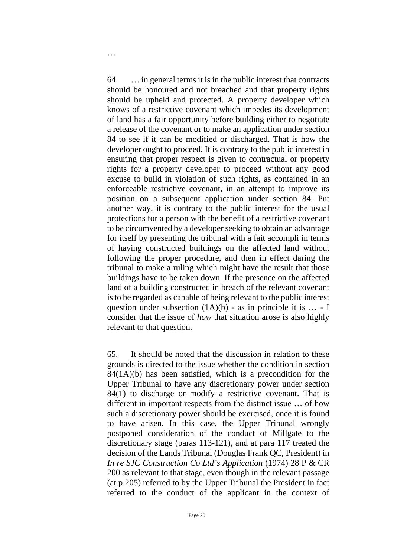64. … in general terms it is in the public interest that contracts should be honoured and not breached and that property rights should be upheld and protected. A property developer which knows of a restrictive covenant which impedes its development of land has a fair opportunity before building either to negotiate a release of the covenant or to make an application under section 84 to see if it can be modified or discharged. That is how the developer ought to proceed. It is contrary to the public interest in ensuring that proper respect is given to contractual or property rights for a property developer to proceed without any good excuse to build in violation of such rights, as contained in an enforceable restrictive covenant, in an attempt to improve its position on a subsequent application under section 84. Put another way, it is contrary to the public interest for the usual protections for a person with the benefit of a restrictive covenant to be circumvented by a developer seeking to obtain an advantage for itself by presenting the tribunal with a fait accompli in terms of having constructed buildings on the affected land without following the proper procedure, and then in effect daring the tribunal to make a ruling which might have the result that those buildings have to be taken down. If the presence on the affected land of a building constructed in breach of the relevant covenant is to be regarded as capable of being relevant to the public interest question under subsection  $(1A)(b)$  - as in principle it is ... - I consider that the issue of *how* that situation arose is also highly relevant to that question.

65. It should be noted that the discussion in relation to these grounds is directed to the issue whether the condition in section  $84(1A)(b)$  has been satisfied, which is a precondition for the Upper Tribunal to have any discretionary power under section 84(1) to discharge or modify a restrictive covenant. That is different in important respects from the distinct issue … of how such a discretionary power should be exercised, once it is found to have arisen. In this case, the Upper Tribunal wrongly postponed consideration of the conduct of Millgate to the discretionary stage (paras 113-121), and at para 117 treated the decision of the Lands Tribunal (Douglas Frank QC, President) in *In re SJC Construction Co Ltd's Application* (1974) 28 P & CR 200 as relevant to that stage, even though in the relevant passage (at p 205) referred to by the Upper Tribunal the President in fact referred to the conduct of the applicant in the context of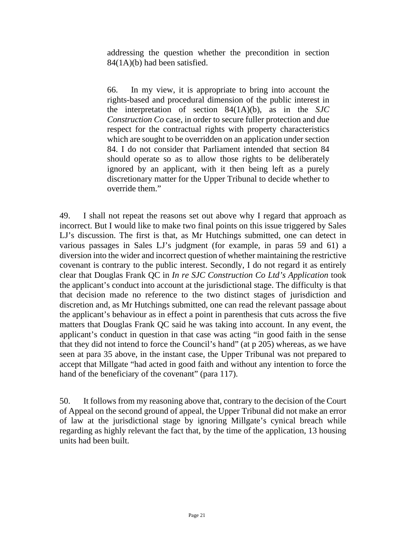addressing the question whether the precondition in section 84(1A)(b) had been satisfied.

66. In my view, it is appropriate to bring into account the rights-based and procedural dimension of the public interest in the interpretation of section 84(1A)(b), as in the *SJC Construction Co* case, in order to secure fuller protection and due respect for the contractual rights with property characteristics which are sought to be overridden on an application under section 84. I do not consider that Parliament intended that section 84 should operate so as to allow those rights to be deliberately ignored by an applicant, with it then being left as a purely discretionary matter for the Upper Tribunal to decide whether to override them."

49. I shall not repeat the reasons set out above why I regard that approach as incorrect. But I would like to make two final points on this issue triggered by Sales LJ's discussion. The first is that, as Mr Hutchings submitted, one can detect in various passages in Sales LJ's judgment (for example, in paras 59 and 61) a diversion into the wider and incorrect question of whether maintaining the restrictive covenant is contrary to the public interest. Secondly, I do not regard it as entirely clear that Douglas Frank QC in *In re SJC Construction Co Ltd's Application* took the applicant's conduct into account at the jurisdictional stage. The difficulty is that that decision made no reference to the two distinct stages of jurisdiction and discretion and, as Mr Hutchings submitted, one can read the relevant passage about the applicant's behaviour as in effect a point in parenthesis that cuts across the five matters that Douglas Frank QC said he was taking into account. In any event, the applicant's conduct in question in that case was acting "in good faith in the sense that they did not intend to force the Council's hand" (at p 205) whereas, as we have seen at para 35 above, in the instant case, the Upper Tribunal was not prepared to accept that Millgate "had acted in good faith and without any intention to force the hand of the beneficiary of the covenant" (para 117).

50. It follows from my reasoning above that, contrary to the decision of the Court of Appeal on the second ground of appeal, the Upper Tribunal did not make an error of law at the jurisdictional stage by ignoring Millgate's cynical breach while regarding as highly relevant the fact that, by the time of the application, 13 housing units had been built.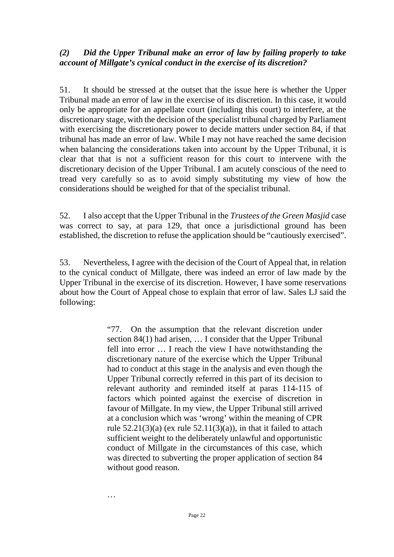#### *(2) Did the Upper Tribunal make an error of law by failing properly to take account of Millgate's cynical conduct in the exercise of its discretion?*

51. It should be stressed at the outset that the issue here is whether the Upper Tribunal made an error of law in the exercise of its discretion. In this case, it would only be appropriate for an appellate court (including this court) to interfere, at the discretionary stage, with the decision of the specialist tribunal charged by Parliament with exercising the discretionary power to decide matters under section 84, if that tribunal has made an error of law. While I may not have reached the same decision when balancing the considerations taken into account by the Upper Tribunal, it is clear that that is not a sufficient reason for this court to intervene with the discretionary decision of the Upper Tribunal. I am acutely conscious of the need to tread very carefully so as to avoid simply substituting my view of how the considerations should be weighed for that of the specialist tribunal.

52. I also accept that the Upper Tribunal in the *Trustees of the Green Masjid* case was correct to say, at para 129, that once a jurisdictional ground has been established, the discretion to refuse the application should be "cautiously exercised".

53. Nevertheless, I agree with the decision of the Court of Appeal that, in relation to the cynical conduct of Millgate, there was indeed an error of law made by the Upper Tribunal in the exercise of its discretion. However, I have some reservations about how the Court of Appeal chose to explain that error of law. Sales LJ said the following:

> "77. On the assumption that the relevant discretion under section 84(1) had arisen, … I consider that the Upper Tribunal fell into error … I reach the view I have notwithstanding the discretionary nature of the exercise which the Upper Tribunal had to conduct at this stage in the analysis and even though the Upper Tribunal correctly referred in this part of its decision to relevant authority and reminded itself at paras 114-115 of factors which pointed against the exercise of discretion in favour of Millgate. In my view, the Upper Tribunal still arrived at a conclusion which was 'wrong' within the meaning of CPR rule  $52.21(3)(a)$  (ex rule  $52.11(3)(a)$ ), in that it failed to attach sufficient weight to the deliberately unlawful and opportunistic conduct of Millgate in the circumstances of this case, which was directed to subverting the proper application of section 84 without good reason.

…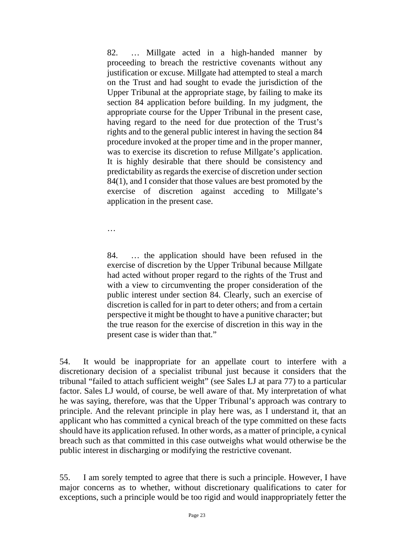82. … Millgate acted in a high-handed manner by proceeding to breach the restrictive covenants without any justification or excuse. Millgate had attempted to steal a march on the Trust and had sought to evade the jurisdiction of the Upper Tribunal at the appropriate stage, by failing to make its section 84 application before building. In my judgment, the appropriate course for the Upper Tribunal in the present case, having regard to the need for due protection of the Trust's rights and to the general public interest in having the section 84 procedure invoked at the proper time and in the proper manner, was to exercise its discretion to refuse Millgate's application. It is highly desirable that there should be consistency and predictability as regards the exercise of discretion under section 84(1), and I consider that those values are best promoted by the exercise of discretion against acceding to Millgate's application in the present case.

…

84. … the application should have been refused in the exercise of discretion by the Upper Tribunal because Millgate had acted without proper regard to the rights of the Trust and with a view to circumventing the proper consideration of the public interest under section 84. Clearly, such an exercise of discretion is called for in part to deter others; and from a certain perspective it might be thought to have a punitive character; but the true reason for the exercise of discretion in this way in the present case is wider than that."

54. It would be inappropriate for an appellate court to interfere with a discretionary decision of a specialist tribunal just because it considers that the tribunal "failed to attach sufficient weight" (see Sales LJ at para 77) to a particular factor. Sales LJ would, of course, be well aware of that. My interpretation of what he was saying, therefore, was that the Upper Tribunal's approach was contrary to principle. And the relevant principle in play here was, as I understand it, that an applicant who has committed a cynical breach of the type committed on these facts should have its application refused. In other words, as a matter of principle, a cynical breach such as that committed in this case outweighs what would otherwise be the public interest in discharging or modifying the restrictive covenant.

55. I am sorely tempted to agree that there is such a principle. However, I have major concerns as to whether, without discretionary qualifications to cater for exceptions, such a principle would be too rigid and would inappropriately fetter the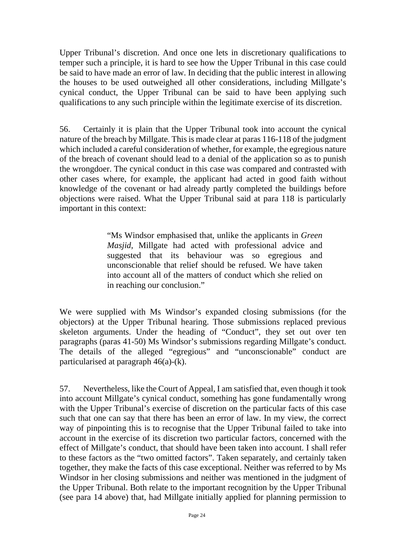Upper Tribunal's discretion. And once one lets in discretionary qualifications to temper such a principle, it is hard to see how the Upper Tribunal in this case could be said to have made an error of law. In deciding that the public interest in allowing the houses to be used outweighed all other considerations, including Millgate's cynical conduct, the Upper Tribunal can be said to have been applying such qualifications to any such principle within the legitimate exercise of its discretion.

56. Certainly it is plain that the Upper Tribunal took into account the cynical nature of the breach by Millgate. This is made clear at paras 116-118 of the judgment which included a careful consideration of whether, for example, the egregious nature of the breach of covenant should lead to a denial of the application so as to punish the wrongdoer. The cynical conduct in this case was compared and contrasted with other cases where, for example, the applicant had acted in good faith without knowledge of the covenant or had already partly completed the buildings before objections were raised. What the Upper Tribunal said at para 118 is particularly important in this context:

> "Ms Windsor emphasised that, unlike the applicants in *Green Masjid*, Millgate had acted with professional advice and suggested that its behaviour was so egregious and unconscionable that relief should be refused. We have taken into account all of the matters of conduct which she relied on in reaching our conclusion."

We were supplied with Ms Windsor's expanded closing submissions (for the objectors) at the Upper Tribunal hearing. Those submissions replaced previous skeleton arguments. Under the heading of "Conduct", they set out over ten paragraphs (paras 41-50) Ms Windsor's submissions regarding Millgate's conduct. The details of the alleged "egregious" and "unconscionable" conduct are particularised at paragraph 46(a)-(k).

57. Nevertheless, like the Court of Appeal, I am satisfied that, even though it took into account Millgate's cynical conduct, something has gone fundamentally wrong with the Upper Tribunal's exercise of discretion on the particular facts of this case such that one can say that there has been an error of law. In my view, the correct way of pinpointing this is to recognise that the Upper Tribunal failed to take into account in the exercise of its discretion two particular factors, concerned with the effect of Millgate's conduct, that should have been taken into account. I shall refer to these factors as the "two omitted factors". Taken separately, and certainly taken together, they make the facts of this case exceptional. Neither was referred to by Ms Windsor in her closing submissions and neither was mentioned in the judgment of the Upper Tribunal. Both relate to the important recognition by the Upper Tribunal (see para 14 above) that, had Millgate initially applied for planning permission to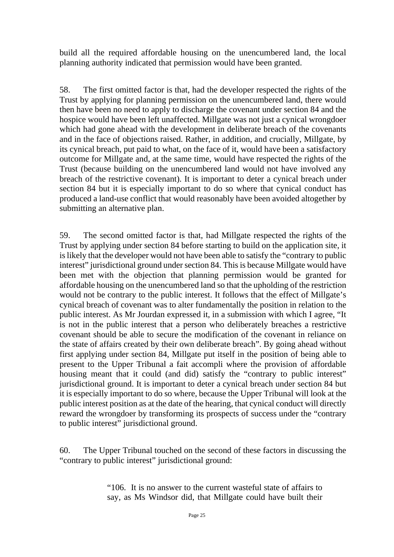build all the required affordable housing on the unencumbered land, the local planning authority indicated that permission would have been granted.

58. The first omitted factor is that, had the developer respected the rights of the Trust by applying for planning permission on the unencumbered land, there would then have been no need to apply to discharge the covenant under section 84 and the hospice would have been left unaffected. Millgate was not just a cynical wrongdoer which had gone ahead with the development in deliberate breach of the covenants and in the face of objections raised. Rather, in addition, and crucially, Millgate, by its cynical breach, put paid to what, on the face of it, would have been a satisfactory outcome for Millgate and, at the same time, would have respected the rights of the Trust (because building on the unencumbered land would not have involved any breach of the restrictive covenant). It is important to deter a cynical breach under section 84 but it is especially important to do so where that cynical conduct has produced a land-use conflict that would reasonably have been avoided altogether by submitting an alternative plan.

59. The second omitted factor is that, had Millgate respected the rights of the Trust by applying under section 84 before starting to build on the application site, it is likely that the developer would not have been able to satisfy the "contrary to public interest" jurisdictional ground under section 84. This is because Millgate would have been met with the objection that planning permission would be granted for affordable housing on the unencumbered land so that the upholding of the restriction would not be contrary to the public interest. It follows that the effect of Millgate's cynical breach of covenant was to alter fundamentally the position in relation to the public interest. As Mr Jourdan expressed it, in a submission with which I agree, "It is not in the public interest that a person who deliberately breaches a restrictive covenant should be able to secure the modification of the covenant in reliance on the state of affairs created by their own deliberate breach". By going ahead without first applying under section 84, Millgate put itself in the position of being able to present to the Upper Tribunal a fait accompli where the provision of affordable housing meant that it could (and did) satisfy the "contrary to public interest" jurisdictional ground. It is important to deter a cynical breach under section 84 but it is especially important to do so where, because the Upper Tribunal will look at the public interest position as at the date of the hearing, that cynical conduct will directly reward the wrongdoer by transforming its prospects of success under the "contrary to public interest" jurisdictional ground.

60. The Upper Tribunal touched on the second of these factors in discussing the "contrary to public interest" jurisdictional ground:

> "106. It is no answer to the current wasteful state of affairs to say, as Ms Windsor did, that Millgate could have built their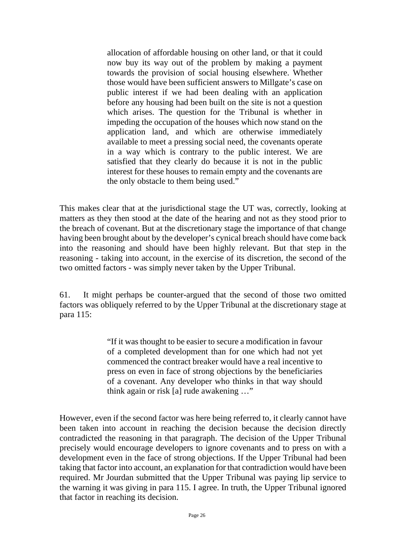allocation of affordable housing on other land, or that it could now buy its way out of the problem by making a payment towards the provision of social housing elsewhere. Whether those would have been sufficient answers to Millgate's case on public interest if we had been dealing with an application before any housing had been built on the site is not a question which arises. The question for the Tribunal is whether in impeding the occupation of the houses which now stand on the application land, and which are otherwise immediately available to meet a pressing social need, the covenants operate in a way which is contrary to the public interest. We are satisfied that they clearly do because it is not in the public interest for these houses to remain empty and the covenants are the only obstacle to them being used."

This makes clear that at the jurisdictional stage the UT was, correctly, looking at matters as they then stood at the date of the hearing and not as they stood prior to the breach of covenant. But at the discretionary stage the importance of that change having been brought about by the developer's cynical breach should have come back into the reasoning and should have been highly relevant. But that step in the reasoning - taking into account, in the exercise of its discretion, the second of the two omitted factors - was simply never taken by the Upper Tribunal.

61. It might perhaps be counter-argued that the second of those two omitted factors was obliquely referred to by the Upper Tribunal at the discretionary stage at para 115:

> "If it was thought to be easier to secure a modification in favour of a completed development than for one which had not yet commenced the contract breaker would have a real incentive to press on even in face of strong objections by the beneficiaries of a covenant. Any developer who thinks in that way should think again or risk [a] rude awakening …"

However, even if the second factor was here being referred to, it clearly cannot have been taken into account in reaching the decision because the decision directly contradicted the reasoning in that paragraph. The decision of the Upper Tribunal precisely would encourage developers to ignore covenants and to press on with a development even in the face of strong objections. If the Upper Tribunal had been taking that factor into account, an explanation for that contradiction would have been required. Mr Jourdan submitted that the Upper Tribunal was paying lip service to the warning it was giving in para 115. I agree. In truth, the Upper Tribunal ignored that factor in reaching its decision.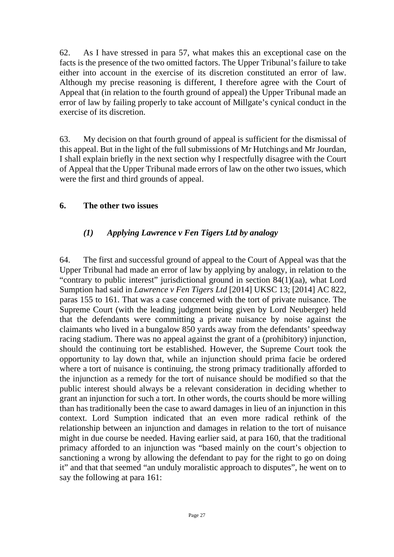62. As I have stressed in para 57, what makes this an exceptional case on the facts is the presence of the two omitted factors. The Upper Tribunal's failure to take either into account in the exercise of its discretion constituted an error of law. Although my precise reasoning is different, I therefore agree with the Court of Appeal that (in relation to the fourth ground of appeal) the Upper Tribunal made an error of law by failing properly to take account of Millgate's cynical conduct in the exercise of its discretion.

63. My decision on that fourth ground of appeal is sufficient for the dismissal of this appeal. But in the light of the full submissions of Mr Hutchings and Mr Jourdan, I shall explain briefly in the next section why I respectfully disagree with the Court of Appeal that the Upper Tribunal made errors of law on the other two issues, which were the first and third grounds of appeal.

#### **6. The other two issues**

# *(1) Applying Lawrence v Fen Tigers Ltd by analogy*

64. The first and successful ground of appeal to the Court of Appeal was that the Upper Tribunal had made an error of law by applying by analogy, in relation to the "contrary to public interest" jurisdictional ground in section 84(1)(aa), what Lord Sumption had said in *Lawrence v Fen Tigers Ltd* [2014] UKSC 13; [2014] AC 822, paras 155 to 161. That was a case concerned with the tort of private nuisance. The Supreme Court (with the leading judgment being given by Lord Neuberger) held that the defendants were committing a private nuisance by noise against the claimants who lived in a bungalow 850 yards away from the defendants' speedway racing stadium. There was no appeal against the grant of a (prohibitory) injunction, should the continuing tort be established. However, the Supreme Court took the opportunity to lay down that, while an injunction should prima facie be ordered where a tort of nuisance is continuing, the strong primacy traditionally afforded to the injunction as a remedy for the tort of nuisance should be modified so that the public interest should always be a relevant consideration in deciding whether to grant an injunction for such a tort. In other words, the courts should be more willing than has traditionally been the case to award damages in lieu of an injunction in this context. Lord Sumption indicated that an even more radical rethink of the relationship between an injunction and damages in relation to the tort of nuisance might in due course be needed. Having earlier said, at para 160, that the traditional primacy afforded to an injunction was "based mainly on the court's objection to sanctioning a wrong by allowing the defendant to pay for the right to go on doing it" and that that seemed "an unduly moralistic approach to disputes", he went on to say the following at para 161: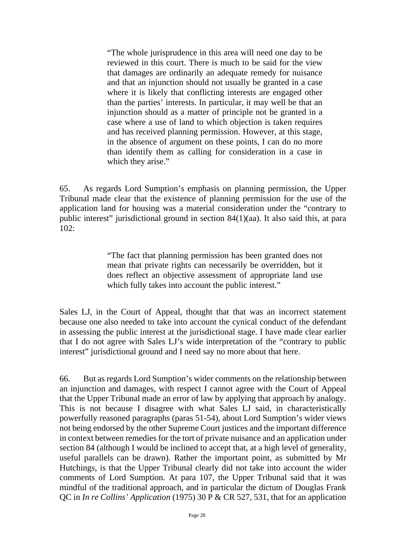"The whole jurisprudence in this area will need one day to be reviewed in this court. There is much to be said for the view that damages are ordinarily an adequate remedy for nuisance and that an injunction should not usually be granted in a case where it is likely that conflicting interests are engaged other than the parties' interests. In particular, it may well be that an injunction should as a matter of principle not be granted in a case where a use of land to which objection is taken requires and has received planning permission. However, at this stage, in the absence of argument on these points, I can do no more than identify them as calling for consideration in a case in which they arise."

65. As regards Lord Sumption's emphasis on planning permission, the Upper Tribunal made clear that the existence of planning permission for the use of the application land for housing was a material consideration under the "contrary to public interest" jurisdictional ground in section 84(1)(aa). It also said this, at para 102:

> "The fact that planning permission has been granted does not mean that private rights can necessarily be overridden, but it does reflect an objective assessment of appropriate land use which fully takes into account the public interest."

Sales LJ, in the Court of Appeal, thought that that was an incorrect statement because one also needed to take into account the cynical conduct of the defendant in assessing the public interest at the jurisdictional stage. I have made clear earlier that I do not agree with Sales LJ's wide interpretation of the "contrary to public interest" jurisdictional ground and I need say no more about that here.

66. But as regards Lord Sumption's wider comments on the relationship between an injunction and damages, with respect I cannot agree with the Court of Appeal that the Upper Tribunal made an error of law by applying that approach by analogy. This is not because I disagree with what Sales LJ said, in characteristically powerfully reasoned paragraphs (paras 51-54), about Lord Sumption's wider views not being endorsed by the other Supreme Court justices and the important difference in context between remedies for the tort of private nuisance and an application under section 84 (although I would be inclined to accept that, at a high level of generality, useful parallels can be drawn). Rather the important point, as submitted by Mr Hutchings, is that the Upper Tribunal clearly did not take into account the wider comments of Lord Sumption. At para 107, the Upper Tribunal said that it was mindful of the traditional approach, and in particular the dictum of Douglas Frank QC in *In re Collins' Application* (1975) 30 P & CR 527, 531, that for an application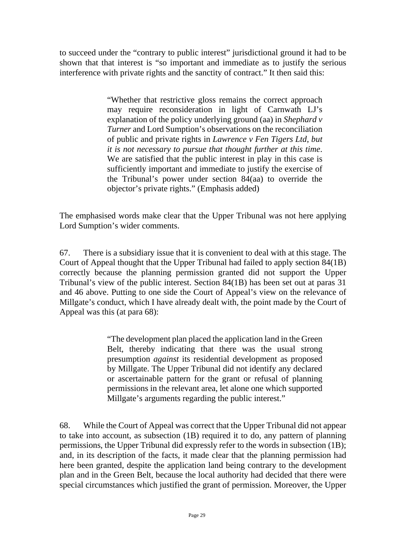to succeed under the "contrary to public interest" jurisdictional ground it had to be shown that that interest is "so important and immediate as to justify the serious interference with private rights and the sanctity of contract." It then said this:

> "Whether that restrictive gloss remains the correct approach may require reconsideration in light of Carnwath LJ's explanation of the policy underlying ground (aa) in *Shephard v Turner* and Lord Sumption's observations on the reconciliation of public and private rights in *Lawrence v Fen Tigers Ltd*, *but it is not necessary to pursue that thought further at this time*. We are satisfied that the public interest in play in this case is sufficiently important and immediate to justify the exercise of the Tribunal's power under section 84(aa) to override the objector's private rights." (Emphasis added)

The emphasised words make clear that the Upper Tribunal was not here applying Lord Sumption's wider comments.

67. There is a subsidiary issue that it is convenient to deal with at this stage. The Court of Appeal thought that the Upper Tribunal had failed to apply section 84(1B) correctly because the planning permission granted did not support the Upper Tribunal's view of the public interest. Section 84(1B) has been set out at paras 31 and 46 above. Putting to one side the Court of Appeal's view on the relevance of Millgate's conduct, which I have already dealt with, the point made by the Court of Appeal was this (at para 68):

> "The development plan placed the application land in the Green Belt, thereby indicating that there was the usual strong presumption *against* its residential development as proposed by Millgate. The Upper Tribunal did not identify any declared or ascertainable pattern for the grant or refusal of planning permissions in the relevant area, let alone one which supported Millgate's arguments regarding the public interest."

68. While the Court of Appeal was correct that the Upper Tribunal did not appear to take into account, as subsection (1B) required it to do, any pattern of planning permissions, the Upper Tribunal did expressly refer to the words in subsection (1B); and, in its description of the facts, it made clear that the planning permission had here been granted, despite the application land being contrary to the development plan and in the Green Belt, because the local authority had decided that there were special circumstances which justified the grant of permission. Moreover, the Upper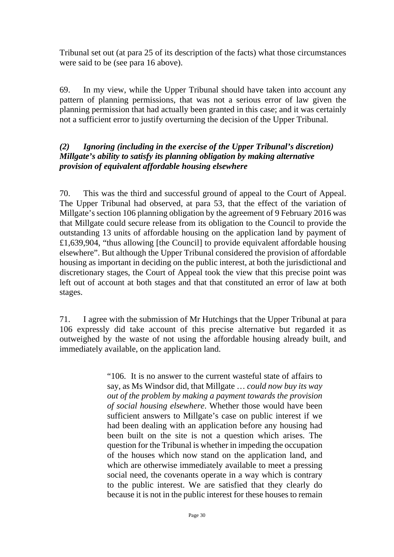Tribunal set out (at para 25 of its description of the facts) what those circumstances were said to be (see para 16 above).

69. In my view, while the Upper Tribunal should have taken into account any pattern of planning permissions, that was not a serious error of law given the planning permission that had actually been granted in this case; and it was certainly not a sufficient error to justify overturning the decision of the Upper Tribunal.

# *(2) Ignoring (including in the exercise of the Upper Tribunal's discretion) Millgate's ability to satisfy its planning obligation by making alternative provision of equivalent affordable housing elsewhere*

70. This was the third and successful ground of appeal to the Court of Appeal. The Upper Tribunal had observed, at para 53, that the effect of the variation of Millgate's section 106 planning obligation by the agreement of 9 February 2016 was that Millgate could secure release from its obligation to the Council to provide the outstanding 13 units of affordable housing on the application land by payment of £1,639,904, "thus allowing [the Council] to provide equivalent affordable housing elsewhere". But although the Upper Tribunal considered the provision of affordable housing as important in deciding on the public interest, at both the jurisdictional and discretionary stages, the Court of Appeal took the view that this precise point was left out of account at both stages and that that constituted an error of law at both stages.

71. I agree with the submission of Mr Hutchings that the Upper Tribunal at para 106 expressly did take account of this precise alternative but regarded it as outweighed by the waste of not using the affordable housing already built, and immediately available, on the application land.

> "106. It is no answer to the current wasteful state of affairs to say, as Ms Windsor did, that Millgate … *could now buy its way out of the problem by making a payment towards the provision of social housing elsewhere*. Whether those would have been sufficient answers to Millgate's case on public interest if we had been dealing with an application before any housing had been built on the site is not a question which arises. The question for the Tribunal is whether in impeding the occupation of the houses which now stand on the application land, and which are otherwise immediately available to meet a pressing social need, the covenants operate in a way which is contrary to the public interest. We are satisfied that they clearly do because it is not in the public interest for these houses to remain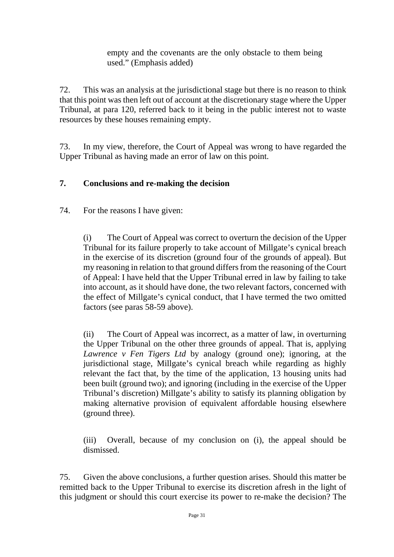empty and the covenants are the only obstacle to them being used." (Emphasis added)

72. This was an analysis at the jurisdictional stage but there is no reason to think that this point was then left out of account at the discretionary stage where the Upper Tribunal, at para 120, referred back to it being in the public interest not to waste resources by these houses remaining empty.

73. In my view, therefore, the Court of Appeal was wrong to have regarded the Upper Tribunal as having made an error of law on this point.

#### **7. Conclusions and re-making the decision**

74. For the reasons I have given:

(i) The Court of Appeal was correct to overturn the decision of the Upper Tribunal for its failure properly to take account of Millgate's cynical breach in the exercise of its discretion (ground four of the grounds of appeal). But my reasoning in relation to that ground differs from the reasoning of the Court of Appeal: I have held that the Upper Tribunal erred in law by failing to take into account, as it should have done, the two relevant factors, concerned with the effect of Millgate's cynical conduct, that I have termed the two omitted factors (see paras 58-59 above).

(ii) The Court of Appeal was incorrect, as a matter of law, in overturning the Upper Tribunal on the other three grounds of appeal. That is, applying *Lawrence v Fen Tigers Ltd* by analogy (ground one); ignoring, at the jurisdictional stage, Millgate's cynical breach while regarding as highly relevant the fact that, by the time of the application, 13 housing units had been built (ground two); and ignoring (including in the exercise of the Upper Tribunal's discretion) Millgate's ability to satisfy its planning obligation by making alternative provision of equivalent affordable housing elsewhere (ground three).

(iii) Overall, because of my conclusion on (i), the appeal should be dismissed.

75. Given the above conclusions, a further question arises. Should this matter be remitted back to the Upper Tribunal to exercise its discretion afresh in the light of this judgment or should this court exercise its power to re-make the decision? The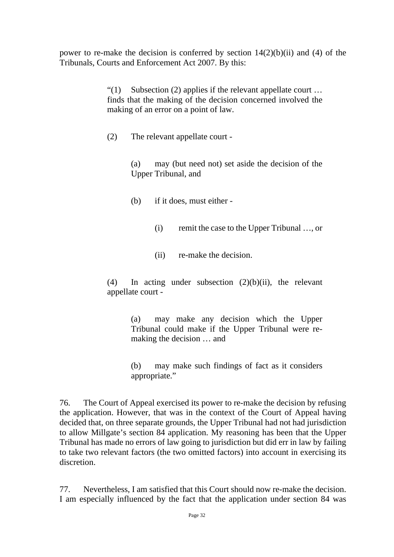power to re-make the decision is conferred by section  $14(2)(b)(ii)$  and (4) of the Tribunals, Courts and Enforcement Act 2007. By this:

> "(1) Subsection (2) applies if the relevant appellate court  $\dots$ finds that the making of the decision concerned involved the making of an error on a point of law.

(2) The relevant appellate court -

(a) may (but need not) set aside the decision of the Upper Tribunal, and

- (b) if it does, must either
	- (i) remit the case to the Upper Tribunal …, or
	- (ii) re-make the decision.

(4) In acting under subsection  $(2)(b)(ii)$ , the relevant appellate court -

> (a) may make any decision which the Upper Tribunal could make if the Upper Tribunal were remaking the decision … and

> (b) may make such findings of fact as it considers appropriate."

76. The Court of Appeal exercised its power to re-make the decision by refusing the application. However, that was in the context of the Court of Appeal having decided that, on three separate grounds, the Upper Tribunal had not had jurisdiction to allow Millgate's section 84 application. My reasoning has been that the Upper Tribunal has made no errors of law going to jurisdiction but did err in law by failing to take two relevant factors (the two omitted factors) into account in exercising its discretion.

77. Nevertheless, I am satisfied that this Court should now re-make the decision. I am especially influenced by the fact that the application under section 84 was